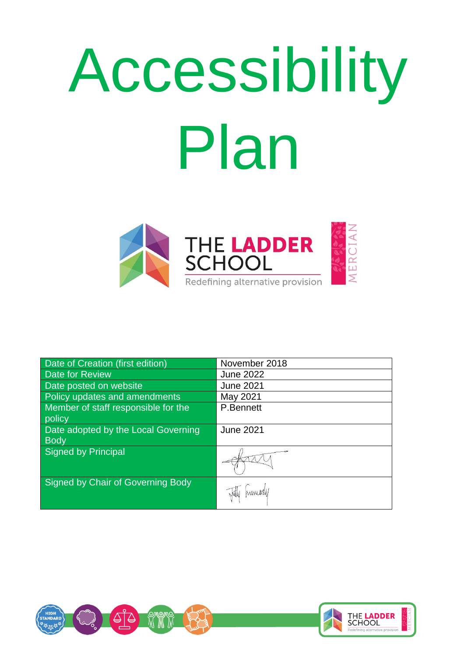# Accessibility Plan



| Date of Creation (first edition)    | November 2018    |
|-------------------------------------|------------------|
| Date for Review                     | <b>June 2022</b> |
| Date posted on website              | <b>June 2021</b> |
| Policy updates and amendments       | May 2021         |
| Member of staff responsible for the | P.Bennett        |
| policy                              |                  |
| Date adopted by the Local Governing | <b>June 2021</b> |
| <b>Body</b>                         |                  |
| <b>Signed by Principal</b>          |                  |
| Signed by Chair of Governing Body   |                  |

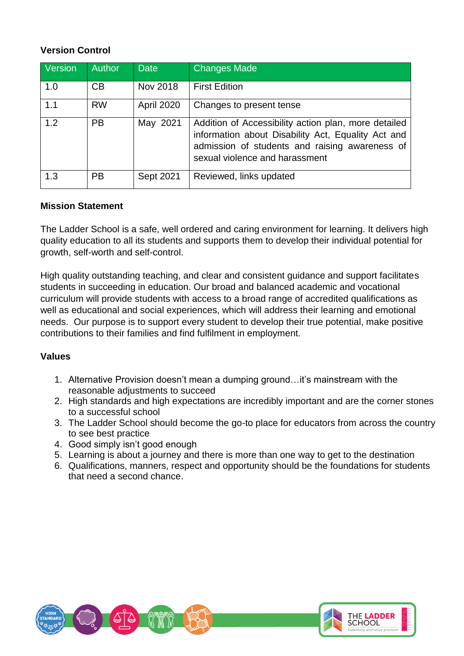# **Version Control**

| Version | Author    | <b>Date</b> | <b>Changes Made</b>                                                                                                                                                                            |
|---------|-----------|-------------|------------------------------------------------------------------------------------------------------------------------------------------------------------------------------------------------|
| 1.0     | CB        | Nov 2018    | <b>First Edition</b>                                                                                                                                                                           |
| 1.1     | <b>RW</b> | April 2020  | Changes to present tense                                                                                                                                                                       |
| 1.2     | <b>PB</b> | May 2021    | Addition of Accessibility action plan, more detailed<br>information about Disability Act, Equality Act and<br>admission of students and raising awareness of<br>sexual violence and harassment |
| 1.3     | <b>PB</b> | Sept 2021   | Reviewed, links updated                                                                                                                                                                        |

## **Mission Statement**

The Ladder School is a safe, well ordered and caring environment for learning. It delivers high quality education to all its students and supports them to develop their individual potential for growth, self-worth and self-control.

High quality outstanding teaching, and clear and consistent guidance and support facilitates students in succeeding in education. Our broad and balanced academic and vocational curriculum will provide students with access to a broad range of accredited qualifications as well as educational and social experiences, which will address their learning and emotional needs. Our purpose is to support every student to develop their true potential, make positive contributions to their families and find fulfilment in employment.

## **Values**

- 1. Alternative Provision doesn't mean a dumping ground…it's mainstream with the reasonable adjustments to succeed
- 2. High standards and high expectations are incredibly important and are the corner stones to a successful school
- 3. The Ladder School should become the go-to place for educators from across the country to see best practice
- 4. Good simply isn't good enough
- 5. Learning is about a journey and there is more than one way to get to the destination
- 6. Qualifications, manners, respect and opportunity should be the foundations for students that need a second chance.

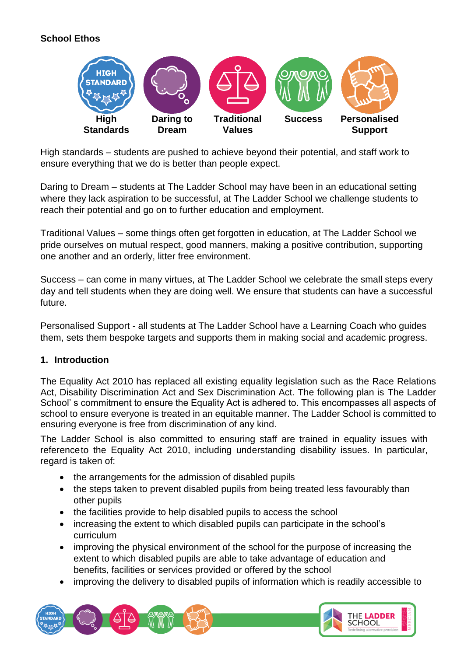# **School Ethos**



High standards – students are pushed to achieve beyond their potential, and staff work to ensure everything that we do is better than people expect.

Daring to Dream – students at The Ladder School may have been in an educational setting where they lack aspiration to be successful, at The Ladder School we challenge students to reach their potential and go on to further education and employment.

Traditional Values – some things often get forgotten in education, at The Ladder School we pride ourselves on mutual respect, good manners, making a positive contribution, supporting one another and an orderly, litter free environment.

Success – can come in many virtues, at The Ladder School we celebrate the small steps every day and tell students when they are doing well. We ensure that students can have a successful future.

Personalised Support - all students at The Ladder School have a Learning Coach who guides them, sets them bespoke targets and supports them in making social and academic progress.

#### **1. Introduction**

The Equality Act 2010 has replaced all existing equality legislation such as the Race Relations Act, Disability Discrimination Act and Sex Discrimination Act. The following plan is The Ladder School' s commitment to ensure the Equality Act is adhered to. This encompasses all aspects of school to ensure everyone is treated in an equitable manner. The Ladder School is committed to ensuring everyone is free from discrimination of any kind.

The Ladder School is also committed to ensuring staff are trained in equality issues with referenceto the Equality Act 2010, including understanding disability issues. In particular, regard is taken of:

- the arrangements for the admission of disabled pupils
- the steps taken to prevent disabled pupils from being treated less favourably than other pupils
- the facilities provide to help disabled pupils to access the school
- increasing the extent to which disabled pupils can participate in the school's curriculum
- improving the physical environment of the school for the purpose of increasing the extent to which disabled pupils are able to take advantage of education and benefits, facilities or services provided or offered by the school
- improving the delivery to disabled pupils of information which is readily accessible to

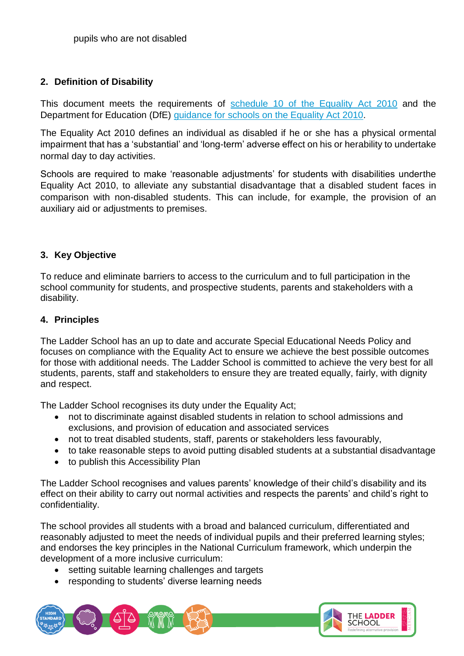## **2. Definition of Disability**

This document meets the requirements of [schedule 10 of the Equality Act 2010](http://www.legislation.gov.uk/ukpga/2010/15/schedule/10) and the Department for Education (DfE) guidance [for schools](https://www.gov.uk/government/publications/equality-act-2010-advice-for-schools) on the Equality Act 201[0.](https://www.gov.uk/government/publications/equality-act-2010-advice-for-schools)

The Equality Act 2010 defines an individual as disabled if he or she has a physical ormental impairment that has a 'substantial' and 'long-term' adverse effect on his or herability to undertake normal day to day activities.

Schools are required to make 'reasonable adjustments' for students with disabilities underthe Equality Act 2010, to alleviate any substantial disadvantage that a disabled student faces in comparison with non-disabled students. This can include, for example, the provision of an auxiliary aid or adjustments to premises.

## **3. Key Objective**

To reduce and eliminate barriers to access to the curriculum and to full participation in the school community for students, and prospective students, parents and stakeholders with a disability.

## **4. Principles**

The Ladder School has an up to date and accurate Special Educational Needs Policy and focuses on compliance with the Equality Act to ensure we achieve the best possible outcomes for those with additional needs. The Ladder School is committed to achieve the very best for all students, parents, staff and stakeholders to ensure they are treated equally, fairly, with dignity and respect.

The Ladder School recognises its duty under the Equality Act;

- not to discriminate against disabled students in relation to school admissions and exclusions, and provision of education and associated services
- not to treat disabled students, staff, parents or stakeholders less favourably,
- to take reasonable steps to avoid putting disabled students at a substantial disadvantage
- to publish this Accessibility Plan

The Ladder School recognises and values parents' knowledge of their child's disability and its effect on their ability to carry out normal activities and respects the parents' and child's right to confidentiality.

The school provides all students with a broad and balanced curriculum, differentiated and reasonably adjusted to meet the needs of individual pupils and their preferred learning styles; and endorses the key principles in the National Curriculum framework, which underpin the development of a more inclusive curriculum:

- setting suitable learning challenges and targets
- responding to students' diverse learning needs

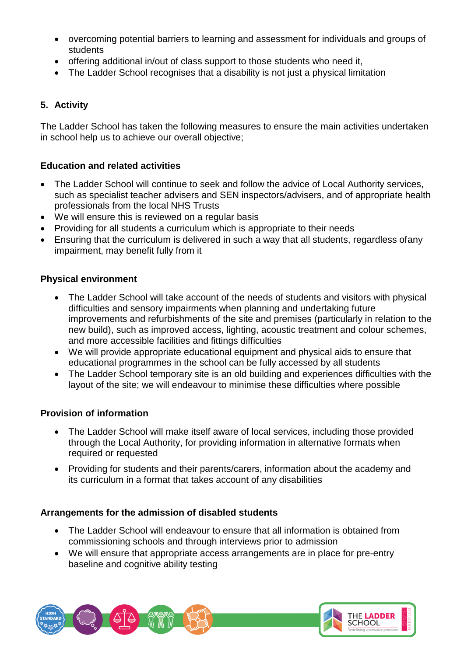- overcoming potential barriers to learning and assessment for individuals and groups of students
- offering additional in/out of class support to those students who need it,
- The Ladder School recognises that a disability is not just a physical limitation

# **5. Activity**

The Ladder School has taken the following measures to ensure the main activities undertaken in school help us to achieve our overall objective;

## **Education and related activities**

- The Ladder School will continue to seek and follow the advice of Local Authority services, such as specialist teacher advisers and SEN inspectors/advisers, and of appropriate health professionals from the local NHS Trusts
- We will ensure this is reviewed on a regular basis
- Providing for all students a curriculum which is appropriate to their needs
- Ensuring that the curriculum is delivered in such a way that all students, regardless ofany impairment, may benefit fully from it

## **Physical environment**

- The Ladder School will take account of the needs of students and visitors with physical difficulties and sensory impairments when planning and undertaking future improvements and refurbishments of the site and premises (particularly in relation to the new build), such as improved access, lighting, acoustic treatment and colour schemes, and more accessible facilities and fittings difficulties
- We will provide appropriate educational equipment and physical aids to ensure that educational programmes in the school can be fully accessed by all students
- The Ladder School temporary site is an old building and experiences difficulties with the layout of the site; we will endeavour to minimise these difficulties where possible

## **Provision of information**

- The Ladder School will make itself aware of local services, including those provided through the Local Authority, for providing information in alternative formats when required or requested
- Providing for students and their parents/carers, information about the academy and its curriculum in a format that takes account of any disabilities

## **Arrangements for the admission of disabled students**

- The Ladder School will endeavour to ensure that all information is obtained from commissioning schools and through interviews prior to admission
- We will ensure that appropriate access arrangements are in place for pre-entry baseline and cognitive ability testing

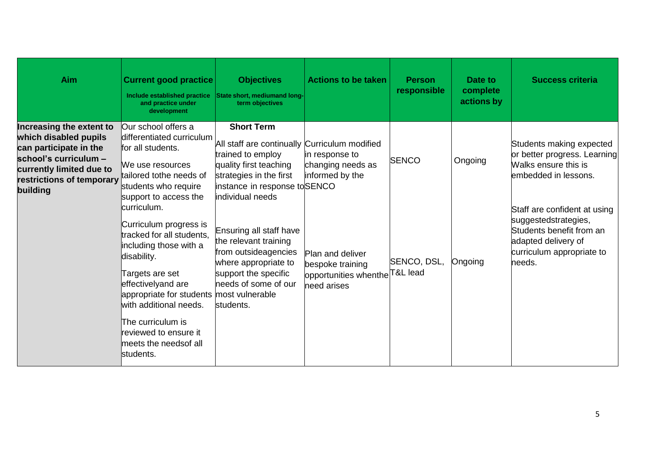| <b>Aim</b>                                                                                                                                                                | <b>Current good practice</b><br>Include established practice<br>and practice under<br>development                                                                                                                                                                                                              | <b>Objectives</b><br>State short, mediumand long-<br>term objectives                                                                                                                              | <b>Actions to be taken</b>                                                                           | <b>Person</b><br>responsible | Date to<br>complete<br>actions by | <b>Success criteria</b>                                                                                                                        |
|---------------------------------------------------------------------------------------------------------------------------------------------------------------------------|----------------------------------------------------------------------------------------------------------------------------------------------------------------------------------------------------------------------------------------------------------------------------------------------------------------|---------------------------------------------------------------------------------------------------------------------------------------------------------------------------------------------------|------------------------------------------------------------------------------------------------------|------------------------------|-----------------------------------|------------------------------------------------------------------------------------------------------------------------------------------------|
| Increasing the extent to<br>which disabled pupils<br>can participate in the<br>school's curriculum -<br>currently limited due to<br>restrictions of temporary<br>building | Our school offers a<br>differentiated curriculum<br>for all students.<br>We use resources<br>tailored tothe needs of<br>students who require<br>support to access the                                                                                                                                          | <b>Short Term</b><br>All staff are continually Curriculum modified<br>trained to employ<br>quality first teaching<br>strategies in the first<br>instance in response to SENCO<br>individual needs | in response to<br>changing needs as<br>informed by the                                               | <b>SENCO</b>                 | Ongoing                           | Students making expected<br>or better progress. Learning<br>Walks ensure this is<br>lembedded in lessons.                                      |
|                                                                                                                                                                           | curriculum.<br>Curriculum progress is<br>tracked for all students,<br>including those with a<br>disability.<br>Targets are set<br>effectivelyand are<br>appropriate for students most vulnerable<br>with additional needs.<br>The curriculum is<br>reviewed to ensure it<br>meets the needsof all<br>students. | Ensuring all staff have<br>the relevant training<br>from outsideagencies<br>where appropriate to<br>support the specific<br>needs of some of our<br>students.                                     | Plan and deliver<br>bespoke training<br>opportunities whenthe <sup>T&amp;L</sup> lead<br>need arises | SENCO, DSL,                  | Ongoing                           | Staff are confident at using<br>suggestedstrategies,<br>Students benefit from an<br>adapted delivery of<br>curriculum appropriate to<br>needs. |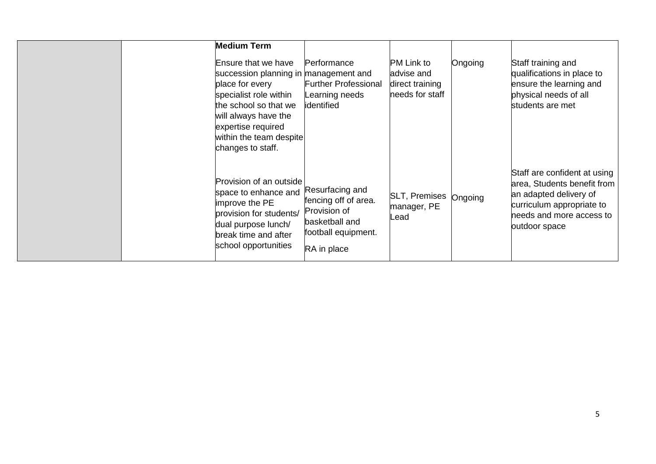| <b>Medium Term</b><br>Ensure that we have<br>succession planning in management and<br>place for every<br>specialist role within<br>the school so that we<br>will always have the<br>expertise required<br>within the team despite<br>changes to staff. | Performance<br><b>Further Professional</b><br>Learning needs<br>identified                                      | <b>PM Link to</b><br>advise and<br>direct training<br>needs for staff | Ongoing | Staff training and<br>qualifications in place to<br>ensure the learning and<br>physical needs of all<br>students are met                                        |
|--------------------------------------------------------------------------------------------------------------------------------------------------------------------------------------------------------------------------------------------------------|-----------------------------------------------------------------------------------------------------------------|-----------------------------------------------------------------------|---------|-----------------------------------------------------------------------------------------------------------------------------------------------------------------|
| Provision of an outside<br>space to enhance and<br>improve the PE<br>provision for students/<br>dual purpose lunch/<br>break time and after<br>school opportunities                                                                                    | Resurfacing and<br>fencing off of area.<br>Provision of<br>basketball and<br>football equipment.<br>RA in place | SLT, Premises Ongoing<br>manager, PE<br>_ead                          |         | Staff are confident at using<br>area, Students benefit from<br>an adapted delivery of<br>curriculum appropriate to<br>needs and more access to<br>outdoor space |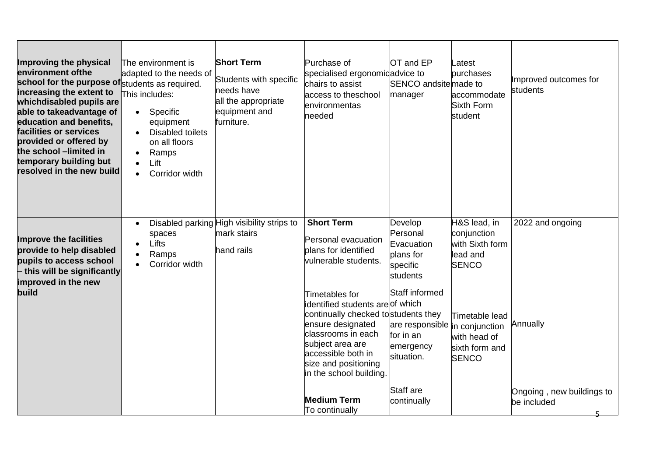| Improving the physical<br>environment of the<br>school for the purpose of students as required.<br>increasing the extent to<br>whichdisabled pupils are<br>able to takeadvantage of<br>education and benefits,<br>facilities or services<br>provided or offered by<br>the school -limited in<br>temporary building but<br>resolved in the new build | The environment is<br>adapted to the needs of<br>This includes:<br>Specific<br>$\bullet$<br>equipment<br><b>Disabled toilets</b><br>on all floors<br>Ramps<br>Lift<br>Corridor width<br>$\bullet$ | <b>Short Term</b><br>Students with specific<br>needs have<br>all the appropriate<br>equipment and<br>furniture. | Purchase of<br>specialised ergonomicadvice to<br>chairs to assist<br>access to theschool<br>environmentas<br>needed                                                                                                                                                                                                                                                   | OT and EP<br>SENCO andsite made to<br>manager                                                                                                                                                  | Latest<br>purchases<br>accommodate<br>Sixth Form<br>student                                                                                    | Improved outcomes for<br>students                                        |
|-----------------------------------------------------------------------------------------------------------------------------------------------------------------------------------------------------------------------------------------------------------------------------------------------------------------------------------------------------|---------------------------------------------------------------------------------------------------------------------------------------------------------------------------------------------------|-----------------------------------------------------------------------------------------------------------------|-----------------------------------------------------------------------------------------------------------------------------------------------------------------------------------------------------------------------------------------------------------------------------------------------------------------------------------------------------------------------|------------------------------------------------------------------------------------------------------------------------------------------------------------------------------------------------|------------------------------------------------------------------------------------------------------------------------------------------------|--------------------------------------------------------------------------|
| <b>Improve the facilities</b><br>provide to help disabled<br>pupils to access school<br>$-$ this will be significantly<br>improved in the new<br>build                                                                                                                                                                                              | spaces<br>Lifts<br>Ramps<br>Corridor width                                                                                                                                                        | Disabled parking High visibility strips to<br>mark stairs<br>hand rails                                         | <b>Short Term</b><br>Personal evacuation<br>plans for identified<br>vulnerable students.<br>Timetables for<br>identified students are of which<br>continually checked tostudents they<br>ensure designated<br>classrooms in each<br>subject area are<br>accessible both in<br>size and positioning<br>in the school building.<br><b>Medium Term</b><br>To continually | Develop<br>Personal<br>Evacuation<br>plans for<br>specific<br>students<br>Staff informed<br>are responsible in conjunction<br>for in an<br>emergency<br>situation.<br>Staff are<br>continually | H&S lead, in<br>conjunction<br>with Sixth form<br>lead and<br><b>SENCO</b><br>Timetable lead<br>with head of<br>sixth form and<br><b>SENCO</b> | 2022 and ongoing<br>Annually<br>Ongoing, new buildings to<br>be included |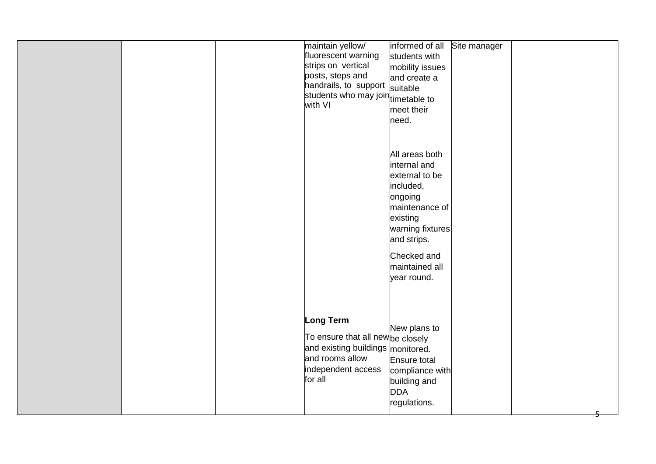|  | maintain yellow/<br>fluorescent warning<br>strips on vertical<br>posts, steps and<br>handrails, to support<br>students who may join timetable to<br>with VI | informed of all<br>students with<br>mobility issues<br>and create a<br>suitable<br>meet their<br>need.                                                                                    | Site manager |  |
|--|-------------------------------------------------------------------------------------------------------------------------------------------------------------|-------------------------------------------------------------------------------------------------------------------------------------------------------------------------------------------|--------------|--|
|  |                                                                                                                                                             | All areas both<br>internal and<br>external to be<br>included,<br>ongoing<br>maintenance of<br>existing<br>warning fixtures<br>and strips.<br>Checked and<br>maintained all<br>year round. |              |  |
|  | Long Term<br>To ensure that all newbe closely<br>and existing buildings monitored.<br>and rooms allow<br>independent access<br>for all                      | New plans to<br>Ensure total<br>compliance with<br>building and<br><b>DDA</b><br>regulations.                                                                                             |              |  |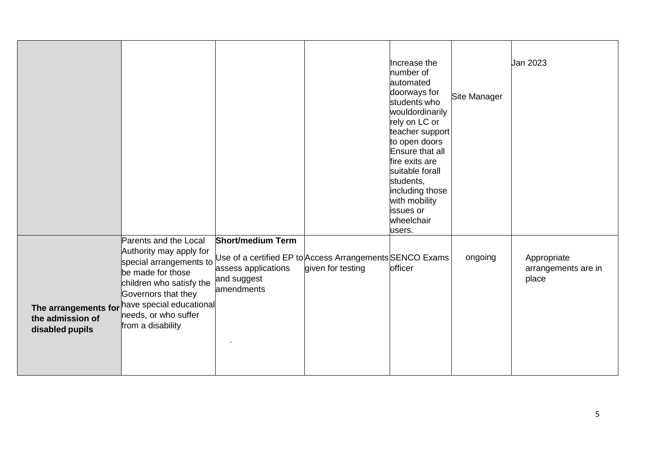|                                     |                                                                                                                                                                                                                                                   |                                                                                                                                          |                   | Increase the<br>number of<br>automated<br>doorways for<br>students who<br>wouldordinarily<br>rely on LC or<br>teacher support<br>to open doors<br>Ensure that all | Site Manager | Jan 2023                                    |
|-------------------------------------|---------------------------------------------------------------------------------------------------------------------------------------------------------------------------------------------------------------------------------------------------|------------------------------------------------------------------------------------------------------------------------------------------|-------------------|-------------------------------------------------------------------------------------------------------------------------------------------------------------------|--------------|---------------------------------------------|
|                                     |                                                                                                                                                                                                                                                   |                                                                                                                                          |                   | fire exits are<br>suitable forall<br>students,<br>including those<br>with mobility<br>issues or<br>wheelchair<br>users.                                           |              |                                             |
| the admission of<br>disabled pupils | Parents and the Local<br>Authority may apply for<br>special arrangements to<br>be made for those<br>children who satisfy the<br>Governors that they<br>The arrangements for have special educational<br>needs, or who suffer<br>from a disability | <b>Short/medium Term</b><br>Use of a certified EP to Access Arrangements SENCO Exams<br>assess applications<br>and suggest<br>amendments | given for testing | officer                                                                                                                                                           | ongoing      | Appropriate<br>arrangements are in<br>place |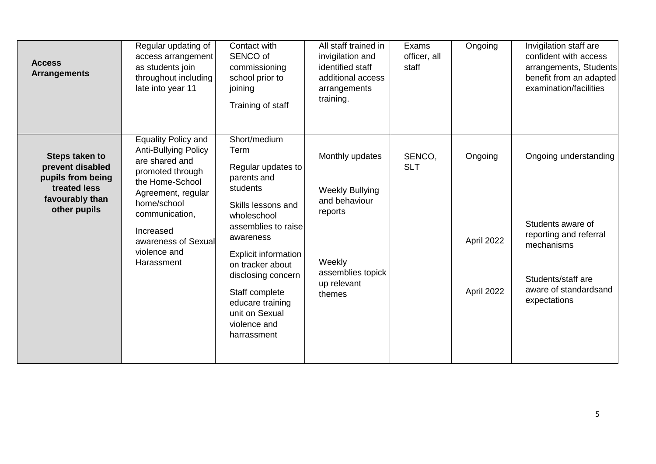| <b>Access</b><br><b>Arrangements</b>                                                                       | Regular updating of<br>access arrangement<br>as students join<br>throughout including<br>late into year 11                                                                                                                                  | Contact with<br>SENCO of<br>commissioning<br>school prior to<br>joining<br>Training of staff                                                                                                                                                                                                                   | All staff trained in<br>invigilation and<br>identified staff<br>additional access<br>arrangements<br>training.                | Exams<br>officer, all<br>staff | Ongoing                             | Invigilation staff are<br>confident with access<br>arrangements, Students<br>benefit from an adapted<br>examination/facilities                    |
|------------------------------------------------------------------------------------------------------------|---------------------------------------------------------------------------------------------------------------------------------------------------------------------------------------------------------------------------------------------|----------------------------------------------------------------------------------------------------------------------------------------------------------------------------------------------------------------------------------------------------------------------------------------------------------------|-------------------------------------------------------------------------------------------------------------------------------|--------------------------------|-------------------------------------|---------------------------------------------------------------------------------------------------------------------------------------------------|
| Steps taken to<br>prevent disabled<br>pupils from being<br>treated less<br>favourably than<br>other pupils | <b>Equality Policy and</b><br><b>Anti-Bullying Policy</b><br>are shared and<br>promoted through<br>the Home-School<br>Agreement, regular<br>home/school<br>communication,<br>Increased<br>awareness of Sexual<br>violence and<br>Harassment | Short/medium<br>Term<br>Regular updates to<br>parents and<br>students<br>Skills lessons and<br>wholeschool<br>assemblies to raise<br>awareness<br><b>Explicit information</b><br>on tracker about<br>disclosing concern<br>Staff complete<br>educare training<br>unit on Sexual<br>violence and<br>harrassment | Monthly updates<br><b>Weekly Bullying</b><br>and behaviour<br>reports<br>Weekly<br>assemblies topick<br>up relevant<br>themes | SENCO,<br><b>SLT</b>           | Ongoing<br>April 2022<br>April 2022 | Ongoing understanding<br>Students aware of<br>reporting and referral<br>mechanisms<br>Students/staff are<br>aware of standardsand<br>expectations |